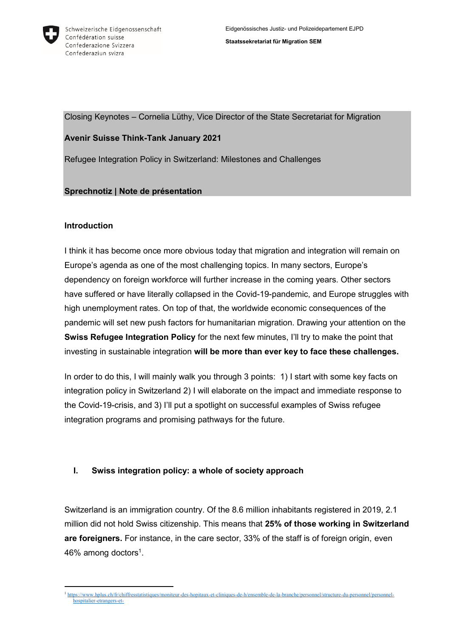

Closing Keynotes – Cornelia Lüthy, Vice Director of the State Secretariat for Migration

### **Avenir Suisse Think-Tank January 2021**

Refugee Integration Policy in Switzerland: Milestones and Challenges

### **Sprechnotiz | Note de présentation**

### **Introduction**

I think it has become once more obvious today that migration and integration will remain on Europe's agenda as one of the most challenging topics. In many sectors, Europe's dependency on foreign workforce will further increase in the coming years. Other sectors have suffered or have literally collapsed in the Covid-19-pandemic, and Europe struggles with high unemployment rates. On top of that, the worldwide economic consequences of the pandemic will set new push factors for humanitarian migration. Drawing your attention on the **Swiss Refugee Integration Policy** for the next few minutes, I'll try to make the point that investing in sustainable integration **will be more than ever key to face these challenges.**

In order to do this, I will mainly walk you through 3 points: 1) I start with some key facts on integration policy in Switzerland 2) I will elaborate on the impact and immediate response to the Covid-19-crisis, and 3) I'll put a spotlight on successful examples of Swiss refugee integration programs and promising pathways for the future.

# **I. Swiss integration policy: a whole of society approach**

Switzerland is an immigration country. Of the 8.6 million inhabitants registered in 2019, 2.1 million did not hold Swiss citizenship. This means that **25% of those working in Switzerland are foreigners.** For instance, in the care sector, 33% of the staff is of foreign origin, even 46% among doctors $^1$ .

<sup>-</sup><sup>1</sup> [https://www.hplus.ch/fr/chiffresstatistiques/moniteur-des-hopitaux-et-cliniques-de-h/ensemble-de-la-branche/personnel/structure-du-personnel/personnel](https://www.hplus.ch/fr/chiffresstatistiques/moniteur-des-hopitaux-et-cliniques-de-h/ensemble-de-la-branche/personnel/structure-du-personnel/personnel-hospitalier-etrangers-et-suisses#:~:text=D%27un%20salari%C3%A9%20sur%20trois,les%20cliniques%20est%20un%20%C3%A9tranger.&text=Dans%20la%20R%C3%A9gion%20l%C3%A9manique%20et,et%20dans%20l%27Espace%20Mitteland)[hospitalier-etrangers-et-](https://www.hplus.ch/fr/chiffresstatistiques/moniteur-des-hopitaux-et-cliniques-de-h/ensemble-de-la-branche/personnel/structure-du-personnel/personnel-hospitalier-etrangers-et-suisses#:~:text=D%27un%20salari%C3%A9%20sur%20trois,les%20cliniques%20est%20un%20%C3%A9tranger.&text=Dans%20la%20R%C3%A9gion%20l%C3%A9manique%20et,et%20dans%20l%27Espace%20Mitteland)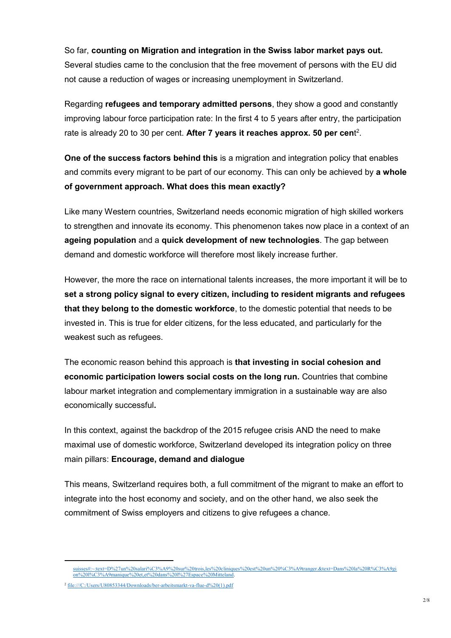So far, **counting on Migration and integration in the Swiss labor market pays out.** Several studies came to the conclusion that the free movement of persons with the EU did not cause a reduction of wages or increasing unemployment in Switzerland.

Regarding **refugees and temporary admitted persons**, they show a good and constantly improving labour force participation rate: In the first 4 to 5 years after entry, the participation rate is already 20 to 30 per cent. **After 7 years it reaches approx. 50 per cen**t 2 .

**One of the success factors behind this** is a migration and integration policy that enables and commits every migrant to be part of our economy. This can only be achieved by **a whole of government approach. What does this mean exactly?** 

Like many Western countries, Switzerland needs economic migration of high skilled workers to strengthen and innovate its economy. This phenomenon takes now place in a context of an **ageing population** and a **quick development of new technologies**. The gap between demand and domestic workforce will therefore most likely increase further.

However, the more the race on international talents increases, the more important it will be to **set a strong policy signal to every citizen, including to resident migrants and refugees that they belong to the domestic workforce**, to the domestic potential that needs to be invested in. This is true for elder citizens, for the less educated, and particularly for the weakest such as refugees.

The economic reason behind this approach is **that investing in social cohesion and economic participation lowers social costs on the long run.** Countries that combine labour market integration and complementary immigration in a sustainable way are also economically successful**.**

In this context, against the backdrop of the 2015 refugee crisis AND the need to make maximal use of domestic workforce, Switzerland developed its integration policy on three main pillars: **Encourage, demand and dialogue**

This means, Switzerland requires both, a full commitment of the migrant to make an effort to integrate into the host economy and society, and on the other hand, we also seek the commitment of Swiss employers and citizens to give refugees a chance.

[suisses#:~:text=D%27un%20salari%C3%A9%20sur%20trois,les%20cliniques%20est%20un%20%C3%A9tranger.&text=Dans%20la%20R%C3%A9gi](https://www.hplus.ch/fr/chiffresstatistiques/moniteur-des-hopitaux-et-cliniques-de-h/ensemble-de-la-branche/personnel/structure-du-personnel/personnel-hospitalier-etrangers-et-suisses#:~:text=D%27un%20salari%C3%A9%20sur%20trois,les%20cliniques%20est%20un%20%C3%A9tranger.&text=Dans%20la%20R%C3%A9gion%20l%C3%A9manique%20et,et%20dans%20l%27Espace%20Mitteland) [on%20l%C3%A9manique%20et,et%20dans%20l%27Espace%20Mitteland.](https://www.hplus.ch/fr/chiffresstatistiques/moniteur-des-hopitaux-et-cliniques-de-h/ensemble-de-la-branche/personnel/structure-du-personnel/personnel-hospitalier-etrangers-et-suisses#:~:text=D%27un%20salari%C3%A9%20sur%20trois,les%20cliniques%20est%20un%20%C3%A9tranger.&text=Dans%20la%20R%C3%A9gion%20l%C3%A9manique%20et,et%20dans%20l%27Espace%20Mitteland)

<sup>2</sup> [file:///C:/Users/U80853344/Downloads/ber-arbeitsmarkt-va-flue-d%20\(1\).pdf](file:///C:/Users/U80853344/Downloads/ber-arbeitsmarkt-va-flue-d%20(1).pdf)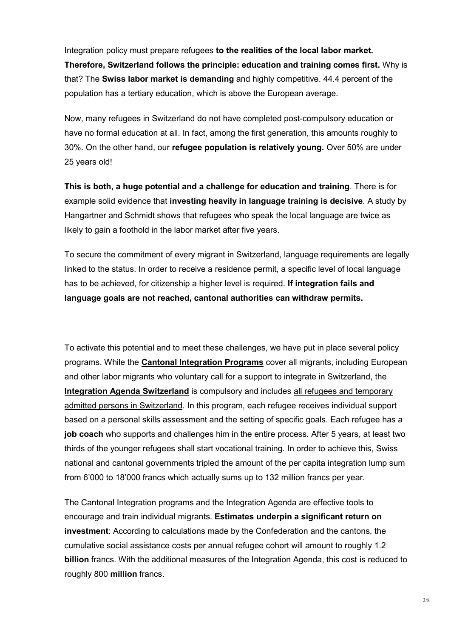Integration policy must prepare refugees **to the realities of the local labor market. Therefore, Switzerland follows the principle: education and training comes first.** Why is that? The **Swiss labor market is demanding** and highly competitive. 44.4 percent of the population has a tertiary education, which is above the European average.

Now, many refugees in Switzerland do not have completed post-compulsory education or have no formal education at all. In fact, among the first generation, this amounts roughly to 30%. On the other hand, our **refugee population is relatively young.** Over 50% are under 25 years old!

**This is both, a huge potential and a challenge for education and training**. There is for example solid evidence that **investing heavily in language training is decisive**. A study by Hangartner and Schmidt shows that refugees who speak the local language are twice as likely to gain a foothold in the labor market after five years.

To secure the commitment of every migrant in Switzerland, language requirements are legally linked to the status. In order to receive a residence permit, a specific level of local language has to be achieved, for citizenship a higher level is required. **If integration fails and language goals are not reached, cantonal authorities can withdraw permits.**

To activate this potential and to meet these challenges, we have put in place several policy programs. While the **Cantonal Integration Programs** cover all migrants, including European and other labor migrants who voluntary call for a support to integrate in Switzerland, the **Integration Agenda Switzerland** is compulsory and includes all refugees and temporary admitted persons in Switzerland. In this program, each refugee receives individual support based on a personal skills assessment and the setting of specific goals. Each refugee has a **job coach** who supports and challenges him in the entire process. After 5 years, at least two thirds of the younger refugees shall start vocational training. In order to achieve this, Swiss national and cantonal governments tripled the amount of the per capita integration lump sum from 6'000 to 18'000 francs which actually sums up to 132 million francs per year.

The Cantonal Integration programs and the Integration Agenda are effective tools to encourage and train individual migrants. **Estimates underpin a significant return on investment**: According to calculations made by the Confederation and the cantons, the cumulative social assistance costs per annual refugee cohort will amount to roughly 1.2 **billion** francs. With the additional measures of the Integration Agenda, this cost is reduced to roughly 800 **million** francs.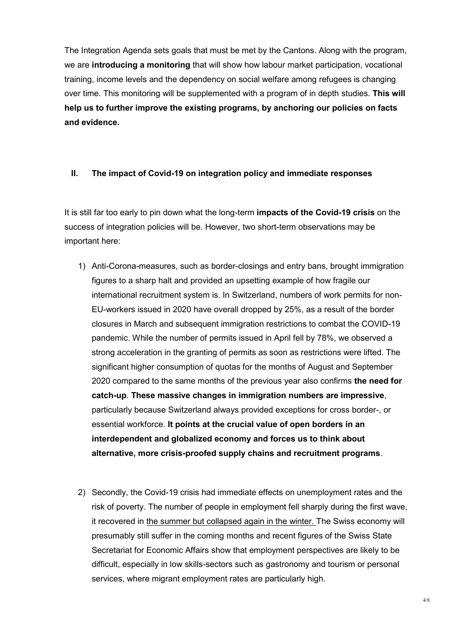The Integration Agenda sets goals that must be met by the Cantons. Along with the program, we are **introducing a monitoring** that will show how labour market participation, vocational training, income levels and the dependency on social welfare among refugees is changing over time. This monitoring will be supplemented with a program of in depth studies. **This will help us to further improve the existing programs, by anchoring our policies on facts and evidence.**

#### **II. The impact of Covid-19 on integration policy and immediate responses**

It is still far too early to pin down what the long-term **impacts of the Covid-19 crisis** on the success of integration policies will be. However, two short-term observations may be important here:

- 1) Anti-Corona-measures, such as border-closings and entry bans, brought immigration figures to a sharp halt and provided an upsetting example of how fragile our international recruitment system is. In Switzerland, numbers of work permits for non-EU-workers issued in 2020 have overall dropped by 25%, as a result of the border closures in March and subsequent immigration restrictions to combat the COVID-19 pandemic. While the number of permits issued in April fell by 78%, we observed a strong acceleration in the granting of permits as soon as restrictions were lifted. The significant higher consumption of quotas for the months of August and September 2020 compared to the same months of the previous year also confirms **the need for catch-up**. **These massive changes in immigration numbers are impressive**, particularly because Switzerland always provided exceptions for cross border-, or essential workforce. **It points at the crucial value of open borders in an interdependent and globalized economy and forces us to think about alternative, more crisis-proofed supply chains and recruitment programs**.
- 2) Secondly, the Covid-19 crisis had immediate effects on unemployment rates and the risk of poverty. The number of people in employment fell sharply during the first wave, it recovered in the summer but collapsed again in the winter. The Swiss economy will presumably still suffer in the coming months and recent figures of the Swiss State Secretariat for Economic Affairs show that employment perspectives are likely to be difficult, especially in low skills-sectors such as gastronomy and tourism or personal services, where migrant employment rates are particularly high.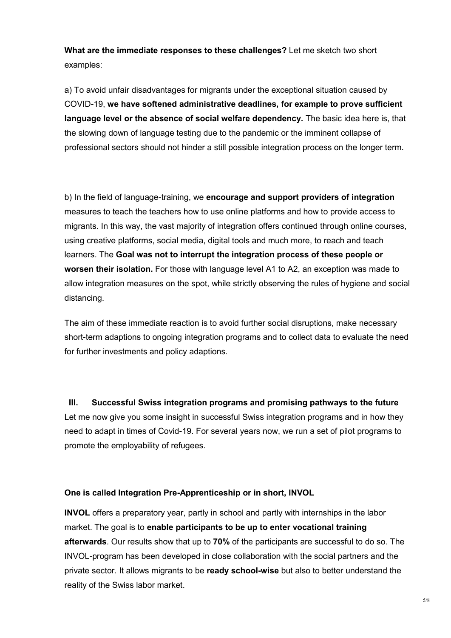**What are the immediate responses to these challenges?** Let me sketch two short examples:

a) To avoid unfair disadvantages for migrants under the exceptional situation caused by COVID-19, **we have softened administrative deadlines, for example to prove sufficient language level or the absence of social welfare dependency.** The basic idea here is, that the slowing down of language testing due to the pandemic or the imminent collapse of professional sectors should not hinder a still possible integration process on the longer term.

b) In the field of language-training, we **encourage and support providers of integration** measures to teach the teachers how to use online platforms and how to provide access to migrants. In this way, the vast majority of integration offers continued through online courses, using creative platforms, social media, digital tools and much more, to reach and teach learners. The **Goal was not to interrupt the integration process of these people or worsen their isolation.** For those with language level A1 to A2, an exception was made to allow integration measures on the spot, while strictly observing the rules of hygiene and social distancing.

The aim of these immediate reaction is to avoid further social disruptions, make necessary short-term adaptions to ongoing integration programs and to collect data to evaluate the need for further investments and policy adaptions.

**III. Successful Swiss integration programs and promising pathways to the future** Let me now give you some insight in successful Swiss integration programs and in how they need to adapt in times of Covid-19. For several years now, we run a set of pilot programs to promote the employability of refugees.

#### **One is called Integration Pre-Apprenticeship or in short, INVOL**

**INVOL** offers a preparatory year, partly in school and partly with internships in the labor market. The goal is to **enable participants to be up to enter vocational training afterwards**. Our results show that up to **70%** of the participants are successful to do so. The INVOL-program has been developed in close collaboration with the social partners and the private sector. It allows migrants to be **ready school-wise** but also to better understand the reality of the Swiss labor market.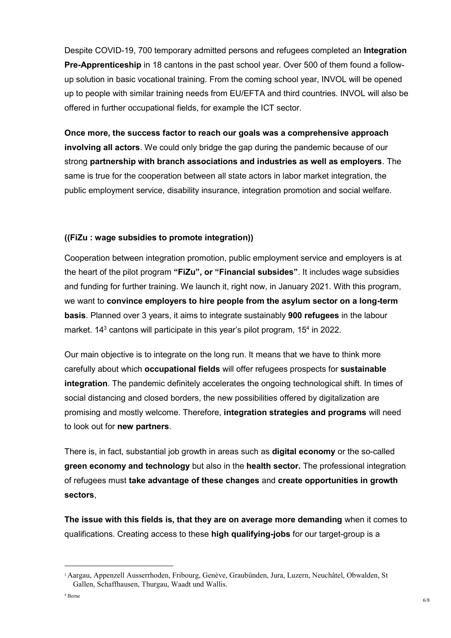Despite COVID-19, 700 temporary admitted persons and refugees completed an **Integration Pre-Apprenticeship** in 18 cantons in the past school year. Over 500 of them found a followup solution in basic vocational training. From the coming school year, INVOL will be opened up to people with similar training needs from EU/EFTA and third countries. INVOL will also be offered in further occupational fields, for example the ICT sector.

**Once more, the success factor to reach our goals was a comprehensive approach involving all actors**. We could only bridge the gap during the pandemic because of our strong **partnership with branch associations and industries as well as employers**. The same is true for the cooperation between all state actors in labor market integration, the public employment service, disability insurance, integration promotion and social welfare.

# **((FiZu : wage subsidies to promote integration))**

Cooperation between integration promotion, public employment service and employers is at the heart of the pilot program **"FiZu", or "Financial subsides"**. It includes wage subsidies and funding for further training. We launch it, right now, in January 2021. With this program, we want to **convince employers to hire people from the asylum sector on a long-term basis**. Planned over 3 years, it aims to integrate sustainably **900 refugees** in the labour market.  $14<sup>3</sup>$  cantons will participate in this year's pilot program,  $15<sup>4</sup>$  in 2022.

Our main objective is to integrate on the long run. It means that we have to think more carefully about which **occupational fields** will offer refugees prospects for **sustainable integration**. The pandemic definitely accelerates the ongoing technological shift. In times of social distancing and closed borders, the new possibilities offered by digitalization are promising and mostly welcome. Therefore, **integration strategies and programs** will need to look out for **new partners**.

There is, in fact, substantial job growth in areas such as **digital economy** or the so-called **green economy and technology** but also in the **health sector.** The professional integration of refugees must **take advantage of these changes** and **create opportunities in growth sectors**,

**The issue with this fields is, that they are on average more demanding** when it comes to qualifications. Creating access to these **high qualifying-jobs** for our target-group is a

-

<sup>3</sup> Aargau, Appenzell Ausserrhoden, Fribourg, Genève, Graubünden, Jura, Luzern, Neuchâtel, Obwalden, St Gallen, Schaffhausen, Thurgau, Waadt und Wallis.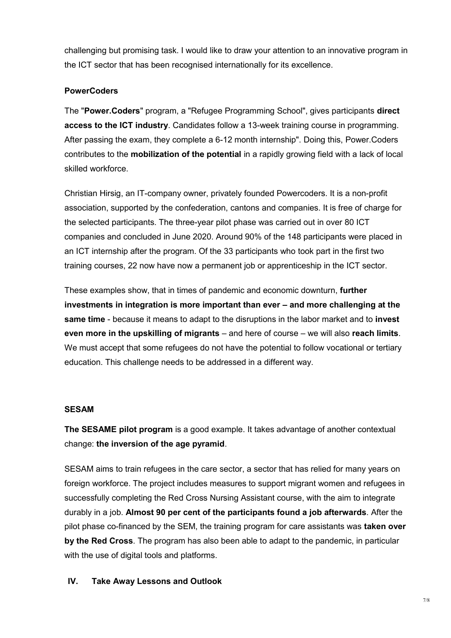challenging but promising task. I would like to draw your attention to an innovative program in the ICT sector that has been recognised internationally for its excellence.

# **PowerCoders**

The "**Power.Coders**" program, a "Refugee Programming School", gives participants **direct access to the ICT industry**. Candidates follow a 13-week training course in programming. After passing the exam, they complete a 6-12 month internship". Doing this, Power.Coders contributes to the **mobilization of the potential** in a rapidly growing field with a lack of local skilled workforce.

Christian Hirsig, an IT-company owner, privately founded Powercoders. It is a non-profit association, supported by the confederation, cantons and companies. It is free of charge for the selected participants. The three-year pilot phase was carried out in over 80 ICT companies and concluded in June 2020. Around 90% of the 148 participants were placed in an ICT internship after the program. Of the 33 participants who took part in the first two training courses, 22 now have now a permanent job or apprenticeship in the ICT sector.

These examples show, that in times of pandemic and economic downturn, **further investments in integration is more important than ever – and more challenging at the same time** - because it means to adapt to the disruptions in the labor market and to **invest even more in the upskilling of migrants** – and here of course – we will also **reach limits**. We must accept that some refugees do not have the potential to follow vocational or tertiary education. This challenge needs to be addressed in a different way.

# **SESAM**

**The SESAME pilot program** is a good example. It takes advantage of another contextual change: **the inversion of the age pyramid**.

SESAM aims to train refugees in the care sector, a sector that has relied for many years on foreign workforce. The project includes measures to support migrant women and refugees in successfully completing the Red Cross Nursing Assistant course, with the aim to integrate durably in a job. **Almost 90 per cent of the participants found a job afterwards**. After the pilot phase co-financed by the SEM, the training program for care assistants was **taken over by the Red Cross**. The program has also been able to adapt to the pandemic, in particular with the use of digital tools and platforms.

# **IV. Take Away Lessons and Outlook**